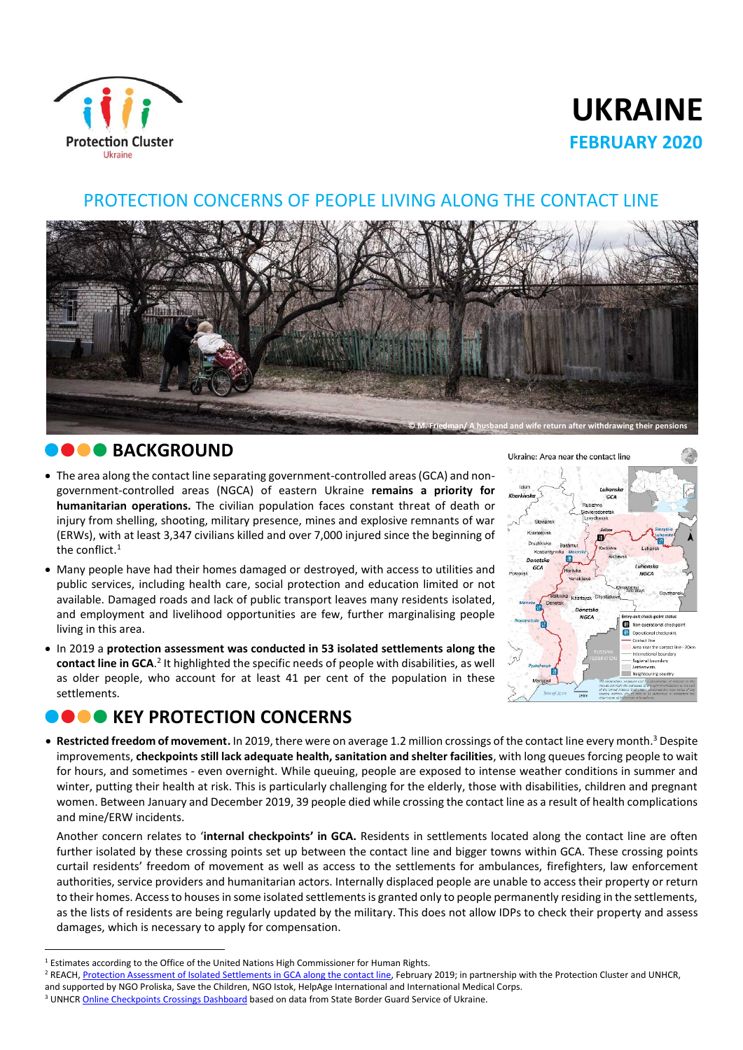

# **UKRAINE FEBRUARY 2020**

#### PROTECTION CONCERNS OF PEOPLE LIVING ALONG THE CONTACT LINE



### **BACKGROUND**

 $\overline{a}$ 

- The area along the contact line separating government-controlled areas (GCA) and nongovernment-controlled areas (NGCA) of eastern Ukraine **remains a priority for humanitarian operations.** The civilian population faces constant threat of death or injury from shelling, shooting, military presence, mines and explosive remnants of war (ERWs), with at least 3,347 civilians killed and over 7,000 injured since the beginning of the conflict. $^1$
- Many people have had their homes damaged or destroyed, with access to utilities and public services, including health care, social protection and education limited or not available. Damaged roads and lack of public transport leaves many residents isolated, and employment and livelihood opportunities are few, further marginalising people living in this area.
- In 2019 a **protection assessment was conducted in 53 isolated settlements along the**  contact line in GCA.<sup>2</sup> It highlighted the specific needs of people with disabilities, as well as older people, who account for at least 41 per cent of the population in these settlements.

## **O O** KEY PROTECTION CONCERNS



 **Restricted freedom of movement.** In 2019, there were on average 1.2 million crossings of the contact line every month. <sup>3</sup> Despite improvements, **checkpoints still lack adequate health, sanitation and shelter facilities**, with long queues forcing people to wait for hours, and sometimes - even overnight. While queuing, people are exposed to intense weather conditions in summer and winter, putting their health at risk. This is particularly challenging for the elderly, those with disabilities, children and pregnant women. Between January and December 2019, 39 people died while crossing the contact line as a result of health complications and mine/ERW incidents.

Another concern relates to '**internal checkpoints' in GCA.** Residents in settlements located along the contact line are often further isolated by these crossing points set up between the contact line and bigger towns within GCA. These crossing points curtail residents' freedom of movement as well as access to the settlements for ambulances, firefighters, law enforcement authorities, service providers and humanitarian actors. Internally displaced people are unable to access their property or return to their homes. Access to houses in some isolated settlements is granted only to people permanently residing in the settlements, as the lists of residents are being regularly updated by the military. This does not allow IDPs to check their property and assess damages, which is necessary to apply for compensation.

<sup>&</sup>lt;sup>1</sup> Estimates according to the Office of the United Nations High Commissioner for Human Rights.

<sup>&</sup>lt;sup>2</sup> REACH[, Protection Assessment of Isolated Settlements in GCA along the contact line,](https://www.humanitarianresponse.info/ru/operations/ukraine/document/reach-protection-assessment-isolated-settlements-government-controlled) February 2019; in partnership with the Protection Cluster and UNHCR,

and supported by NGO Proliska, Save the Children, NGO Istok, HelpAge International and International Medical Corps.

<sup>&</sup>lt;sup>3</sup> UNHC[R Online Checkpoints Crossings Dashboard](https://app.powerbi.com/view?r=eyJrIjoiZjNjZTYwY2QtYWFlZC00ODAyLTg1YjQtY2NjNWFlYWM0ODNjIiwidCI6ImU1YzM3OTgxLTY2NjQtNDEzNC04YTBjLTY1NDNkMmFmODBiZSIsImMiOjh9) based on data from State Border Guard Service of Ukraine.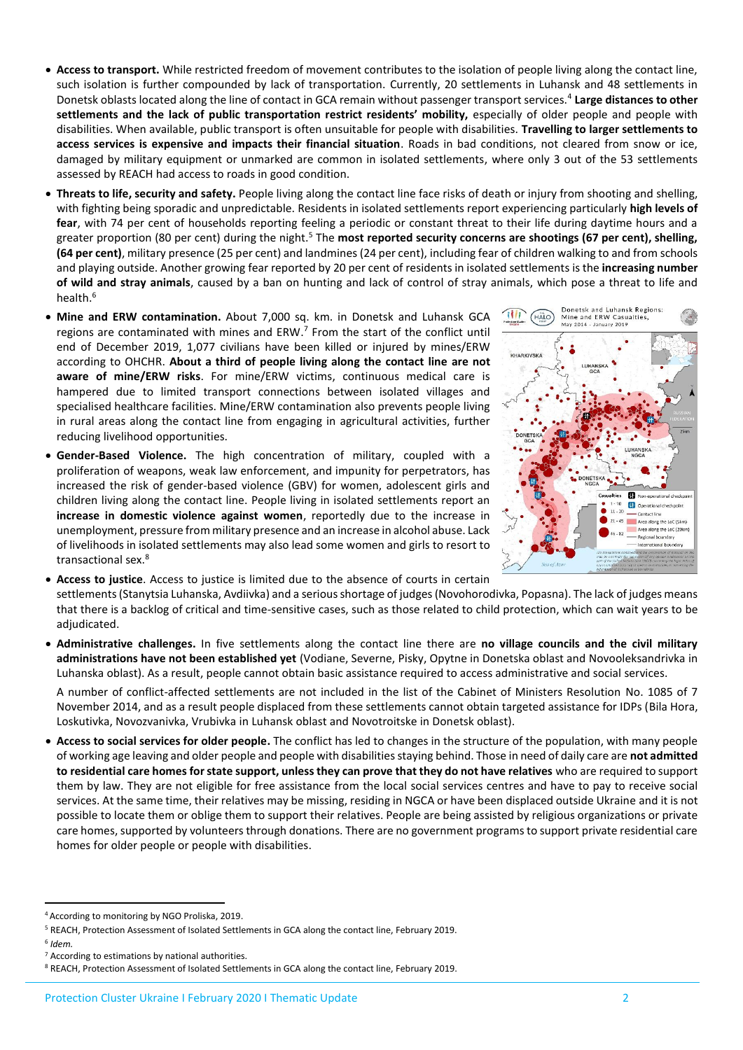- **Access to transport.** While restricted freedom of movement contributes to the isolation of people living along the contact line, such isolation is further compounded by lack of transportation. Currently, 20 settlements in Luhansk and 48 settlements in Donetsk oblasts located along the line of contact in GCA remain without passenger transport services.<sup>4</sup> Large distances to other **settlements and the lack of public transportation restrict residents' mobility,** especially of older people and people with disabilities. When available, public transport is often unsuitable for people with disabilities. **Travelling to larger settlements to access services is expensive and impacts their financial situation**. Roads in bad conditions, not cleared from snow or ice, damaged by military equipment or unmarked are common in isolated settlements, where only 3 out of the 53 settlements assessed by REACH had access to roads in good condition.
- **Threats to life, security and safety.** People living along the contact line face risks of death or injury from shooting and shelling, with fighting being sporadic and unpredictable. Residents in isolated settlements report experiencing particularly **high levels of fear**, with 74 per cent of households reporting feeling a periodic or constant threat to their life during daytime hours and a greater proportion (80 per cent) during the night.<sup>5</sup> The most reported security concerns are shootings (67 per cent), shelling, **(64 per cent)**, military presence (25 per cent) and landmines (24 per cent), including fear of children walking to and from schools and playing outside. Another growing fear reported by 20 per cent of residents in isolated settlements is the **increasing number of wild and stray animals**, caused by a ban on hunting and lack of control of stray animals, which pose a threat to life and health. 6
- **Mine and ERW contamination.** About 7,000 sq. km. in Donetsk and Luhansk GCA regions are contaminated with mines and ERW.<sup>7</sup> From the start of the conflict until end of December 2019, 1,077 civilians have been killed or injured by mines/ERW according to OHCHR. **About a third of people living along the contact line are not aware of mine/ERW risks**. For mine/ERW victims, continuous medical care is hampered due to limited transport connections between isolated villages and specialised healthcare facilities. Mine/ERW contamination also prevents people living in rural areas along the contact line from engaging in agricultural activities, further reducing livelihood opportunities.
- **Gender-Based Violence.** The high concentration of military, coupled with a proliferation of weapons, weak law enforcement, and impunity for perpetrators, has increased the risk of gender-based violence (GBV) for women, adolescent girls and children living along the contact line. People living in isolated settlements report an **increase in domestic violence against women**, reportedly due to the increase in unemployment, pressure from military presence and an increase in alcohol abuse. Lack of livelihoods in isolated settlements may also lead some women and girls to resort to transactional sex. 8



**Access to justice**. Access to justice is limited due to the absence of courts in certain

settlements (Stanytsia Luhanska, Avdiivka) and a seriousshortage of judges (Novohorodivka, Popasna). The lack of judges means that there is a backlog of critical and time-sensitive cases, such as those related to child protection, which can wait years to be adjudicated.

 **Administrative challenges.** In five settlements along the contact line there are **no village councils and the civil military administrations have not been established yet** (Vodiane, Severne, Pisky, Opytne in Donetska oblast and Novooleksandrivka in Luhanska oblast). As a result, people cannot obtain basic assistance required to access administrative and social services.

A number of conflict-affected settlements are not included in the list of the Cabinet of Ministers Resolution No. 1085 of 7 November 2014, and as a result people displaced from these settlements cannot obtain targeted assistance for IDPs (Bila Hora, Loskutivka, Novozvanivka, Vrubivka in Luhansk oblast and Novotroitske in Donetsk oblast).

 **Access to social services for older people.** The conflict has led to changes in the structure of the population, with many people of working age leaving and older people and people with disabilities staying behind. Those in need of daily care are **not admitted to residential care homes for state support, unless they can prove that they do not have relatives** who are required to support them by law. They are not eligible for free assistance from the local social services centres and have to pay to receive social services. At the same time, their relatives may be missing, residing in NGCA or have been displaced outside Ukraine and it is not possible to locate them or oblige them to support their relatives. People are being assisted by religious organizations or private care homes, supported by volunteers through donations. There are no government programs to support private residential care homes for older people or people with disabilities.

 $\overline{a}$ 

<sup>4</sup> According to monitoring by NGO Proliska, 2019.

<sup>5</sup> REACH, Protection Assessment of Isolated Settlements in GCA along the contact line, February 2019.

<sup>6</sup> *Idem.* 

<sup>7</sup> According to estimations by national authorities.

<sup>8</sup> REACH, Protection Assessment of Isolated Settlements in GCA along the contact line, February 2019.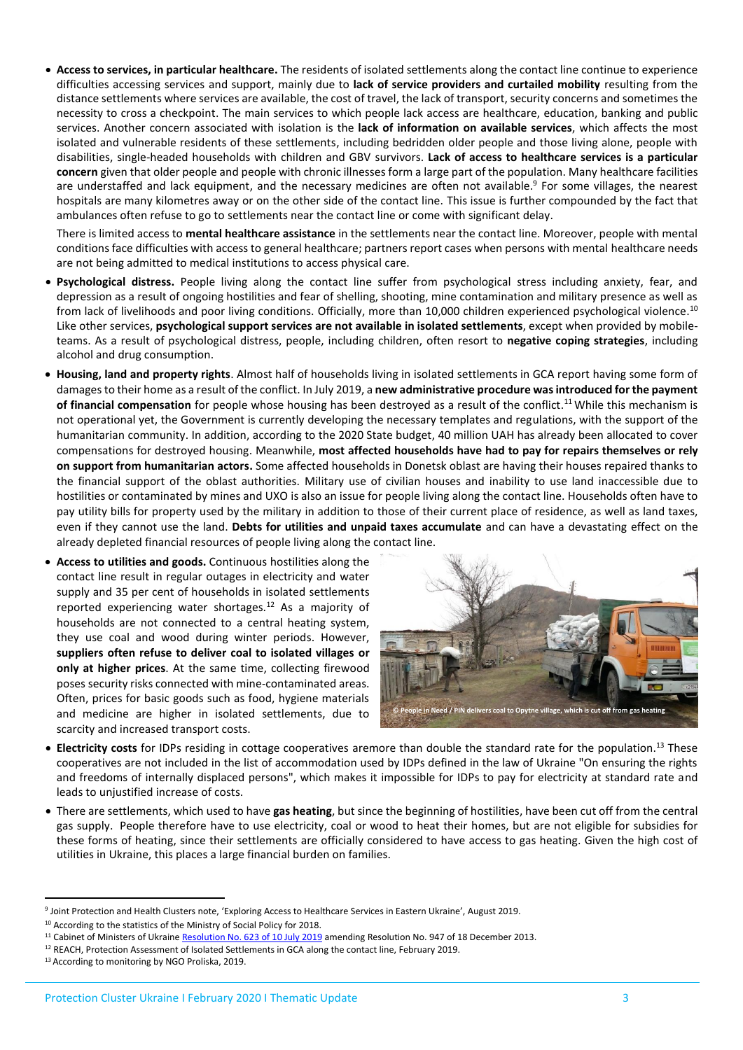**Access to services, in particular healthcare.** The residents of isolated settlements along the contact line continue to experience difficulties accessing services and support, mainly due to **lack of service providers and curtailed mobility** resulting from the distance settlements where services are available, the cost of travel, the lack of transport, security concerns and sometimes the necessity to cross a checkpoint. The main services to which people lack access are healthcare, education, banking and public services. Another concern associated with isolation is the **lack of information on available services**, which affects the most isolated and vulnerable residents of these settlements, including bedridden older people and those living alone, people with disabilities, single-headed households with children and GBV survivors. **Lack of access to healthcare services is a particular concern** given that older people and people with chronic illnesses form a large part of the population. Many healthcare facilities are understaffed and lack equipment, and the necessary medicines are often not available.<sup>9</sup> For some villages, the nearest hospitals are many kilometres away or on the other side of the contact line. This issue is further compounded by the fact that ambulances often refuse to go to settlements near the contact line or come with significant delay.

There is limited access to **mental healthcare assistance** in the settlements near the contact line. Moreover, people with mental conditions face difficulties with access to general healthcare; partners report cases when persons with mental healthcare needs are not being admitted to medical institutions to access physical care.

- **Psychological distress.** People living along the contact line suffer from psychological stress including anxiety, fear, and depression as a result of ongoing hostilities and fear of shelling, shooting, mine contamination and military presence as well as from lack of livelihoods and poor living conditions. Officially, more than 10,000 children experienced psychological violence.<sup>10</sup> Like other services, **psychological support services are not available in isolated settlements**, except when provided by mobileteams. As a result of psychological distress, people, including children, often resort to **negative coping strategies**, including alcohol and drug consumption.
- **Housing, land and property rights**. Almost half of households living in isolated settlements in GCA report having some form of damagesto their home as a result of the conflict. In July 2019, a **new administrative procedure was introduced for the payment**  of financial compensation for people whose housing has been destroyed as a result of the conflict.<sup>11</sup> While this mechanism is not operational yet, the Government is currently developing the necessary templates and regulations, with the support of the humanitarian community. In addition, according to the 2020 State budget, 40 million UAH has already been allocated to cover compensations for destroyed housing. Meanwhile, **most affected households have had to pay for repairs themselves or rely on support from humanitarian actors.** Some affected households in Donetsk oblast are having their houses repaired thanks to the financial support of the oblast authorities. Military use of civilian houses and inability to use land inaccessible due to hostilities or contaminated by mines and UXO is also an issue for people living along the contact line. Households often have to pay utility bills for property used by the military in addition to those of their current place of residence, as well as land taxes, even if they cannot use the land. **Debts for utilities and unpaid taxes accumulate** and can have a devastating effect on the already depleted financial resources of people living along the contact line.
- **Access to utilities and goods.** Continuous hostilities along the contact line result in regular outages in electricity and water supply and 35 per cent of households in isolated settlements reported experiencing water shortages.<sup>12</sup> As a majority of households are not connected to a central heating system, they use coal and wood during winter periods. However, **suppliers often refuse to deliver coal to isolated villages or only at higher prices**. At the same time, collecting firewood poses security risks connected with mine-contaminated areas. Often, prices for basic goods such as food, hygiene materials and medicine are higher in isolated settlements, due to scarcity and increased transport costs.



- **Electricity costs** for IDPs residing in cottage cooperatives aremore than double the standard rate for the population.<sup>13</sup> These cooperatives are not included in the list of accommodation used by IDPs defined in the law of Ukraine "On ensuring the rights and freedoms of internally displaced persons", which makes it impossible for IDPs to pay for electricity at standard rate and leads to unjustified increase of costs.
- There are settlements, which used to have **gas heating**, but since the beginning of hostilities, have been cut off from the central gas supply. People therefore have to use electricity, coal or wood to heat their homes, but are not eligible for subsidies for these forms of heating, since their settlements are officially considered to have access to gas heating. Given the high cost of utilities in Ukraine, this places a large financial burden on families.

**.** 

<sup>9</sup> Joint Protection and Health Clusters note, 'Exploring Access to Healthcare Services in Eastern Ukraine', August 2019.

<sup>&</sup>lt;sup>10</sup> According to the statistics of the Ministry of Social Policy for 2018.

<sup>&</sup>lt;sup>11</sup> Cabinet of Ministers of Ukraine [Resolution No. 623 of 10 July 2019](https://zakon.rada.gov.ua/laws/show/623-2019-%D0%BF) amending Resolution No. 947 of 18 December 2013.

<sup>&</sup>lt;sup>12</sup> REACH, Protection Assessment of Isolated Settlements in GCA along the contact line, February 2019.

<sup>13</sup> According to monitoring by NGO Proliska, 2019.